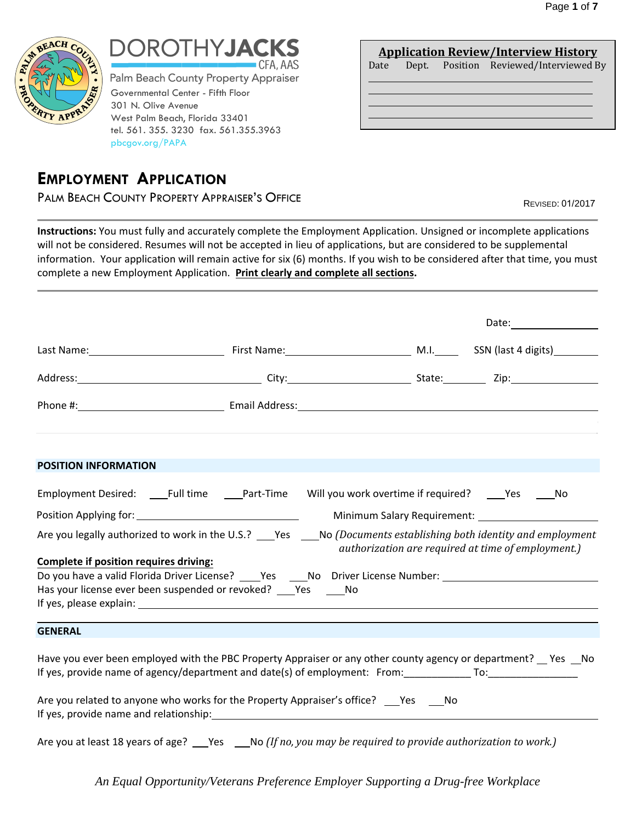

# **DROTHYJA** --------CFA,AAS

Governmental Center - Fifth Floor 301 N. Olive Avenue West Palm Beach, Florida 33401 tel. 561. 355. 3230 fax. 561.355.3963 pbcgov.org/PAPA Palm Beach County Property Appraiser

# **EMPLOYMENT APPLICATION**

PALM BEACH COUNTY PROPERTY APPRAISER'S OFFICE **Example 2014** Revised: 01/2017

**Application Review/Interview History** Date Dept. Position Reviewed/Interviewed By

**Instructions:** You must fully and accurately complete the Employment Application. Unsigned or incomplete applications will not be considered. Resumes will not be accepted in lieu of applications, but are considered to be supplemental information. Your application will remain active for six (6) months. If you wish to be considered after that time, you must complete a new Employment Application. **Print clearly and complete all sections.**

|                                        |                                                                                                                                                                                                                                     |                                                    | Date: $\qquad \qquad$ |  |
|----------------------------------------|-------------------------------------------------------------------------------------------------------------------------------------------------------------------------------------------------------------------------------------|----------------------------------------------------|-----------------------|--|
|                                        |                                                                                                                                                                                                                                     |                                                    |                       |  |
|                                        | Address: 2008. 2010. 2010. 2010. City: 2010. 2010. 2010. 2010. 2010. 2010. 2010. 2010. 2010. 2010. 2010. 2010                                                                                                                       |                                                    |                       |  |
|                                        |                                                                                                                                                                                                                                     |                                                    |                       |  |
| POSITION INFORMATION                   |                                                                                                                                                                                                                                     |                                                    |                       |  |
|                                        | Employment Desired: _____Full time _______Part-Time Will you work overtime if required? _____Yes ______No                                                                                                                           |                                                    |                       |  |
|                                        |                                                                                                                                                                                                                                     |                                                    |                       |  |
|                                        | Are you legally authorized to work in the U.S.? ___Yes ___No (Documents establishing both identity and employment                                                                                                                   | authorization are required at time of employment.) |                       |  |
| Complete if position requires driving: | Do you have a valid Florida Driver License? ______Yes ______No Driver License Number: ________________________                                                                                                                      |                                                    |                       |  |
|                                        | Has your license ever been suspended or revoked? ____ Yes ______ No                                                                                                                                                                 |                                                    |                       |  |
| <b>GENERAL</b>                         |                                                                                                                                                                                                                                     |                                                    |                       |  |
|                                        | Have you ever been employed with the PBC Property Appraiser or any other county agency or department? __ Yes __No<br>If yes, provide name of agency/department and date(s) of employment: From: ___________________________________ |                                                    |                       |  |
|                                        | Are you related to anyone who works for the Property Appraiser's office? Yes No                                                                                                                                                     |                                                    |                       |  |
|                                        | Are you at least 18 years of age? ___Yes ___No (If no, you may be required to provide authorization to work.)                                                                                                                       |                                                    |                       |  |

*An Equal Opportunity/Veterans Preference Employer Supporting a Drug-free Workplace*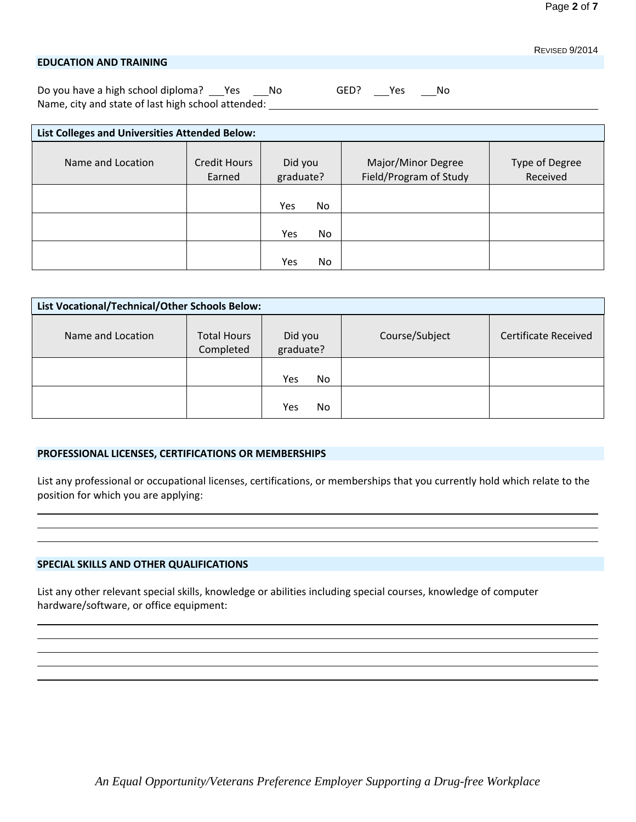### **EDUCATION AND TRAINING**

Do you have a high school diploma? No South No GED? No No GED? No Name, city and state of last high school attended:

| List Colleges and Universities Attended Below: |                        |                       |                                              |                            |
|------------------------------------------------|------------------------|-----------------------|----------------------------------------------|----------------------------|
| Name and Location                              | Credit Hours<br>Earned | Did you<br>graduate?  | Major/Minor Degree<br>Field/Program of Study | Type of Degree<br>Received |
|                                                |                        | Yes<br>N <sub>o</sub> |                                              |                            |
|                                                |                        | <b>No</b><br>Yes      |                                              |                            |
|                                                |                        | Yes<br>No.            |                                              |                            |

| List Vocational/Technical/Other Schools Below: |                                 |                      |                |                             |
|------------------------------------------------|---------------------------------|----------------------|----------------|-----------------------------|
| Name and Location                              | <b>Total Hours</b><br>Completed | Did you<br>graduate? | Course/Subject | <b>Certificate Received</b> |
|                                                |                                 | Yes<br>No.           |                |                             |
|                                                |                                 | Yes<br>No            |                |                             |

### **PROFESSIONAL LICENSES, CERTIFICATIONS OR MEMBERSHIPS**

List any professional or occupational licenses, certifications, or memberships that you currently hold which relate to the position for which you are applying:

### **SPECIAL SKILLS AND OTHER QUALIFICATIONS**

List any other relevant special skills, knowledge or abilities including special courses, knowledge of computer hardware/software, or office equipment:

REVISED 9/2014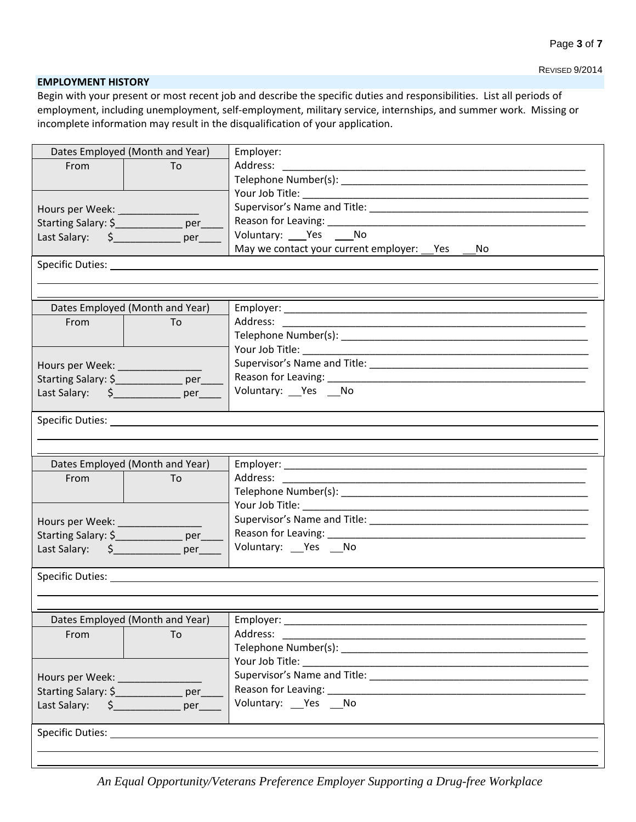REVISED 9/2014

#### **EMPLOYMENT HISTORY**

Begin with your present or most recent job and describe the specific duties and responsibilities. List all periods of employment, including unemployment, self-employment, military service, internships, and summer work. Missing or incomplete information may result in the disqualification of your application.

| Dates Employed (Month and Year)         |                                                                                                                                                                                                                                      | Employer:                                                                                                                                                                                                                      |
|-----------------------------------------|--------------------------------------------------------------------------------------------------------------------------------------------------------------------------------------------------------------------------------------|--------------------------------------------------------------------------------------------------------------------------------------------------------------------------------------------------------------------------------|
| From                                    | To                                                                                                                                                                                                                                   | Address:                                                                                                                                                                                                                       |
|                                         |                                                                                                                                                                                                                                      |                                                                                                                                                                                                                                |
|                                         |                                                                                                                                                                                                                                      |                                                                                                                                                                                                                                |
| Hours per Week: ____________            |                                                                                                                                                                                                                                      |                                                                                                                                                                                                                                |
| Starting Salary: \$_______________ per_ |                                                                                                                                                                                                                                      | Reason for Leaving: Network and Season for Leaving:                                                                                                                                                                            |
|                                         |                                                                                                                                                                                                                                      | Voluntary: ___ Yes ____ No                                                                                                                                                                                                     |
|                                         |                                                                                                                                                                                                                                      | May we contact your current employer: Pes<br>No.                                                                                                                                                                               |
|                                         |                                                                                                                                                                                                                                      |                                                                                                                                                                                                                                |
|                                         |                                                                                                                                                                                                                                      |                                                                                                                                                                                                                                |
|                                         |                                                                                                                                                                                                                                      |                                                                                                                                                                                                                                |
|                                         | Dates Employed (Month and Year)                                                                                                                                                                                                      |                                                                                                                                                                                                                                |
| From                                    | To                                                                                                                                                                                                                                   |                                                                                                                                                                                                                                |
|                                         |                                                                                                                                                                                                                                      |                                                                                                                                                                                                                                |
|                                         |                                                                                                                                                                                                                                      |                                                                                                                                                                                                                                |
| Hours per Week: ____________            |                                                                                                                                                                                                                                      |                                                                                                                                                                                                                                |
| Starting Salary: \$_______________ per_ |                                                                                                                                                                                                                                      | Voluntary: Yes No                                                                                                                                                                                                              |
|                                         |                                                                                                                                                                                                                                      |                                                                                                                                                                                                                                |
|                                         | Specific Duties: <u>Contract Contract Contract Contract Contract Contract Contract Contract Contract Contract Contract Contract Contract Contract Contract Contract Contract Contract Contract Contract Contract Contract Contra</u> |                                                                                                                                                                                                                                |
|                                         |                                                                                                                                                                                                                                      |                                                                                                                                                                                                                                |
|                                         |                                                                                                                                                                                                                                      |                                                                                                                                                                                                                                |
|                                         | Dates Employed (Month and Year)                                                                                                                                                                                                      |                                                                                                                                                                                                                                |
| From                                    | To                                                                                                                                                                                                                                   | Address:                                                                                                                                                                                                                       |
|                                         |                                                                                                                                                                                                                                      |                                                                                                                                                                                                                                |
|                                         |                                                                                                                                                                                                                                      |                                                                                                                                                                                                                                |
| Hours per Week: __________              |                                                                                                                                                                                                                                      |                                                                                                                                                                                                                                |
| Starting Salary: \$_______________ per_ |                                                                                                                                                                                                                                      |                                                                                                                                                                                                                                |
| Last Salary: \$ per                     |                                                                                                                                                                                                                                      | Voluntary: __Yes __No                                                                                                                                                                                                          |
|                                         |                                                                                                                                                                                                                                      |                                                                                                                                                                                                                                |
|                                         |                                                                                                                                                                                                                                      |                                                                                                                                                                                                                                |
|                                         |                                                                                                                                                                                                                                      |                                                                                                                                                                                                                                |
|                                         |                                                                                                                                                                                                                                      |                                                                                                                                                                                                                                |
|                                         | Dates Employed (Month and Year)                                                                                                                                                                                                      | Employer: North Contract Contract Contract Contract Contract Contract Contract Contract Contract Contract Contract Contract Contract Contract Contract Contract Contract Contract Contract Contract Contract Contract Contract |
| From                                    | To                                                                                                                                                                                                                                   | Address:                                                                                                                                                                                                                       |
|                                         |                                                                                                                                                                                                                                      |                                                                                                                                                                                                                                |
|                                         |                                                                                                                                                                                                                                      | Your Job Title:                                                                                                                                                                                                                |
| Hours per Week:                         |                                                                                                                                                                                                                                      | Supervisor's Name and Title: Supervisor Contract Contract Contract Contract Contract Contract Contract Contract Contract Contract Contract Contract Contract Contract Contract Contract Contract Contract Contract Contract Co |
| Starting Salary: \$                     | per                                                                                                                                                                                                                                  | Reason for Leaving: Note that the set of the set of the set of the set of the set of the set of the set of the                                                                                                                 |
| Last Salary: \$                         | per                                                                                                                                                                                                                                  | Voluntary: __ Yes __ No                                                                                                                                                                                                        |
|                                         |                                                                                                                                                                                                                                      |                                                                                                                                                                                                                                |
| Specific Duties: ______                 |                                                                                                                                                                                                                                      |                                                                                                                                                                                                                                |
|                                         |                                                                                                                                                                                                                                      |                                                                                                                                                                                                                                |

*An Equal Opportunity/Veterans Preference Employer Supporting a Drug-free Workplace*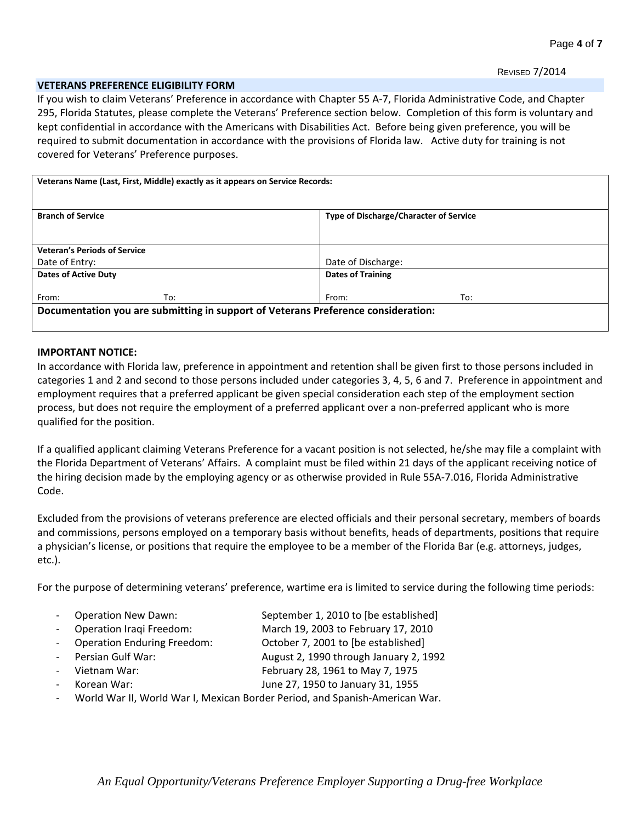#### **VETERANS PREFERENCE ELIGIBILITY FORM**

If you wish to claim Veterans' Preference in accordance with Chapter 55 A-7, Florida Administrative Code, and Chapter 295, Florida Statutes, please complete the Veterans' Preference section below. Completion of this form is voluntary and kept confidential in accordance with the Americans with Disabilities Act. Before being given preference, you will be required to submit documentation in accordance with the provisions of Florida law. Active duty for training is not covered for Veterans' Preference purposes.

|                                     | Veterans Name (Last, First, Middle) exactly as it appears on Service Records: |                                                                                   |                                               |  |
|-------------------------------------|-------------------------------------------------------------------------------|-----------------------------------------------------------------------------------|-----------------------------------------------|--|
| <b>Branch of Service</b>            |                                                                               |                                                                                   | <b>Type of Discharge/Character of Service</b> |  |
|                                     |                                                                               |                                                                                   |                                               |  |
| <b>Veteran's Periods of Service</b> |                                                                               |                                                                                   |                                               |  |
| Date of Entry:                      |                                                                               | Date of Discharge:                                                                |                                               |  |
| Dates of Active Duty                |                                                                               | <b>Dates of Training</b>                                                          |                                               |  |
| From:                               | To:                                                                           | From:                                                                             | To:                                           |  |
|                                     |                                                                               | Documentation you are submitting in support of Veterans Preference consideration: |                                               |  |
|                                     |                                                                               |                                                                                   |                                               |  |

### **IMPORTANT NOTICE:**

In accordance with Florida law, preference in appointment and retention shall be given first to those persons included in categories 1 and 2 and second to those persons included under categories 3, 4, 5, 6 and 7. Preference in appointment and employment requires that a preferred applicant be given special consideration each step of the employment section process, but does not require the employment of a preferred applicant over a non-preferred applicant who is more qualified for the position.

If a qualified applicant claiming Veterans Preference for a vacant position is not selected, he/she may file a complaint with the Florida Department of Veterans' Affairs. A complaint must be filed within 21 days of the applicant receiving notice of the hiring decision made by the employing agency or as otherwise provided in Rule 55A-7.016, Florida Administrative Code.

Excluded from the provisions of veterans preference are elected officials and their personal secretary, members of boards and commissions, persons employed on a temporary basis without benefits, heads of departments, positions that require a physician's license, or positions that require the employee to be a member of the Florida Bar (e.g. attorneys, judges, etc.).

For the purpose of determining veterans' preference, wartime era is limited to service during the following time periods:

- Operation New Dawn: September 1, 2010 to [be established]
- Operation Iraqi Freedom: March 19, 2003 to February 17, 2010
- Operation Enduring Freedom: 0ctober 7, 2001 to [be established]
	- Persian Gulf War: August 2, 1990 through January 2, 1992
	- Vietnam War: February 28, 1961 to May 7, 1975
		- Korean War: June 27, 1950 to January 31, 1955
	- World War II, World War I, Mexican Border Period, and Spanish-American War.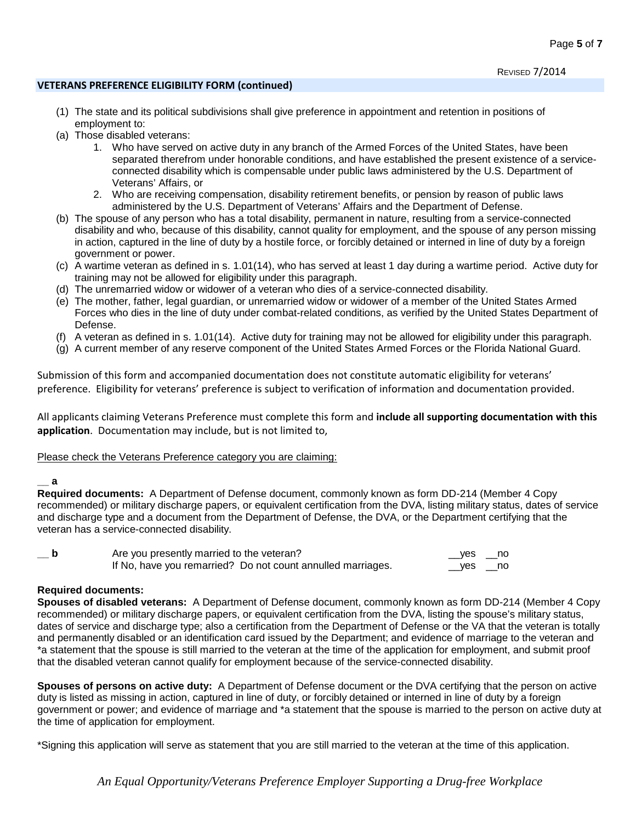# **VETERANS PREFERENCE ELIGIBILITY FORM (continued)**

- (1) The state and its political subdivisions shall give preference in appointment and retention in positions of employment to:
- (a) Those disabled veterans:
	- 1. Who have served on active duty in any branch of the Armed Forces of the United States, have been separated therefrom under honorable conditions, and have established the present existence of a serviceconnected disability which is compensable under public laws administered by the U.S. Department of Veterans' Affairs, or
	- 2. Who are receiving compensation, disability retirement benefits, or pension by reason of public laws administered by the U.S. Department of Veterans' Affairs and the Department of Defense.
- (b) The spouse of any person who has a total disability, permanent in nature, resulting from a service-connected disability and who, because of this disability, cannot quality for employment, and the spouse of any person missing in action, captured in the line of duty by a hostile force, or forcibly detained or interned in line of duty by a foreign government or power.
- (c) A wartime veteran as defined in s. 1.01(14), who has served at least 1 day during a wartime period. Active duty for training may not be allowed for eligibility under this paragraph.
- (d) The unremarried widow or widower of a veteran who dies of a service-connected disability.
- (e) The mother, father, legal guardian, or unremarried widow or widower of a member of the United States Armed Forces who dies in the line of duty under combat-related conditions, as verified by the United States Department of Defense.
- (f) A veteran as defined in s. 1.01(14). Active duty for training may not be allowed for eligibility under this paragraph.
- (g) A current member of any reserve component of the United States Armed Forces or the Florida National Guard.

Submission of this form and accompanied documentation does not constitute automatic eligibility for veterans' preference. Eligibility for veterans' preference is subject to verification of information and documentation provided.

All applicants claiming Veterans Preference must complete this form and **include all supporting documentation with this application**. Documentation may include, but is not limited to,

## Please check the Veterans Preference category you are claiming:

## **\_\_ a**

**Required documents:** A Department of Defense document, commonly known as form DD-214 (Member 4 Copy recommended) or military discharge papers, or equivalent certification from the DVA, listing military status, dates of service and discharge type and a document from the Department of Defense, the DVA, or the Department certifying that the veteran has a service-connected disability.

| $\mathsf{p}$ | Are you presently married to the veteran?                   |           |        |  |
|--------------|-------------------------------------------------------------|-----------|--------|--|
|              | If No, have you remarried? Do not count annulled marriages. | $\_\$ yes | ____no |  |

# **Required documents:**

**Spouses of disabled veterans:** A Department of Defense document, commonly known as form DD-214 (Member 4 Copy recommended) or military discharge papers, or equivalent certification from the DVA, listing the spouse's military status, dates of service and discharge type; also a certification from the Department of Defense or the VA that the veteran is totally and permanently disabled or an identification card issued by the Department; and evidence of marriage to the veteran and \*a statement that the spouse is still married to the veteran at the time of the application for employment, and submit proof that the disabled veteran cannot qualify for employment because of the service-connected disability.

**Spouses of persons on active duty:** A Department of Defense document or the DVA certifying that the person on active duty is listed as missing in action, captured in line of duty, or forcibly detained or interned in line of duty by a foreign government or power; and evidence of marriage and \*a statement that the spouse is married to the person on active duty at the time of application for employment.

\*Signing this application will serve as statement that you are still married to the veteran at the time of this application.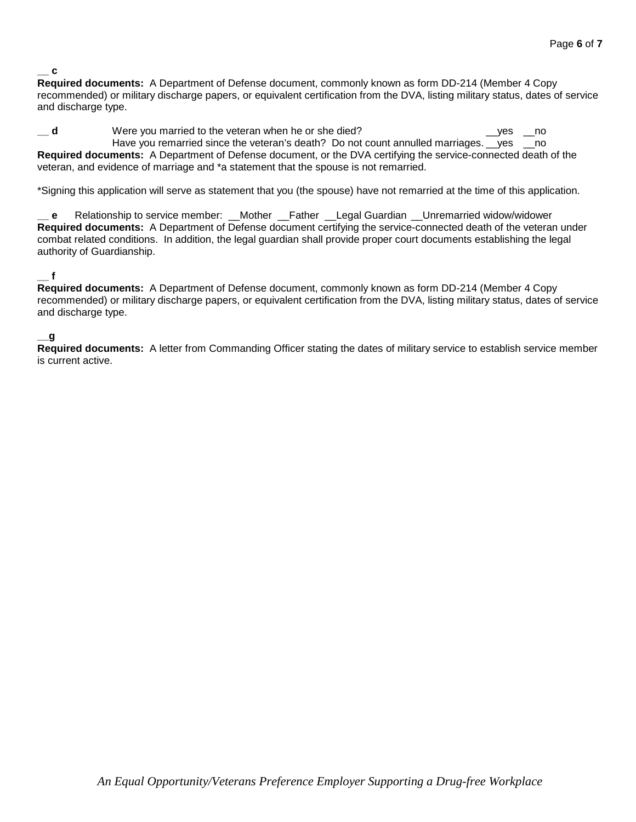### **\_\_ c**

**Required documents:** A Department of Defense document, commonly known as form DD-214 (Member 4 Copy recommended) or military discharge papers, or equivalent certification from the DVA, listing military status, dates of service and discharge type.

**d** Were you married to the veteran when he or she died? **decay of the veteral window** when he or she died? Have you remarried since the veteran's death? Do not count annulled marriages. \_\_yes \_\_no **Required documents:** A Department of Defense document, or the DVA certifying the service-connected death of the veteran, and evidence of marriage and \*a statement that the spouse is not remarried.

\*Signing this application will serve as statement that you (the spouse) have not remarried at the time of this application.

**\_\_ e** Relationship to service member: \_\_Mother \_\_Father \_\_Legal Guardian \_\_Unremarried widow/widower **Required documents:** A Department of Defense document certifying the service-connected death of the veteran under combat related conditions. In addition, the legal guardian shall provide proper court documents establishing the legal authority of Guardianship.

## **\_\_ f**

**Required documents:** A Department of Defense document, commonly known as form DD-214 (Member 4 Copy recommended) or military discharge papers, or equivalent certification from the DVA, listing military status, dates of service and discharge type.

### **\_\_g**

**Required documents:** A letter from Commanding Officer stating the dates of military service to establish service member is current active.